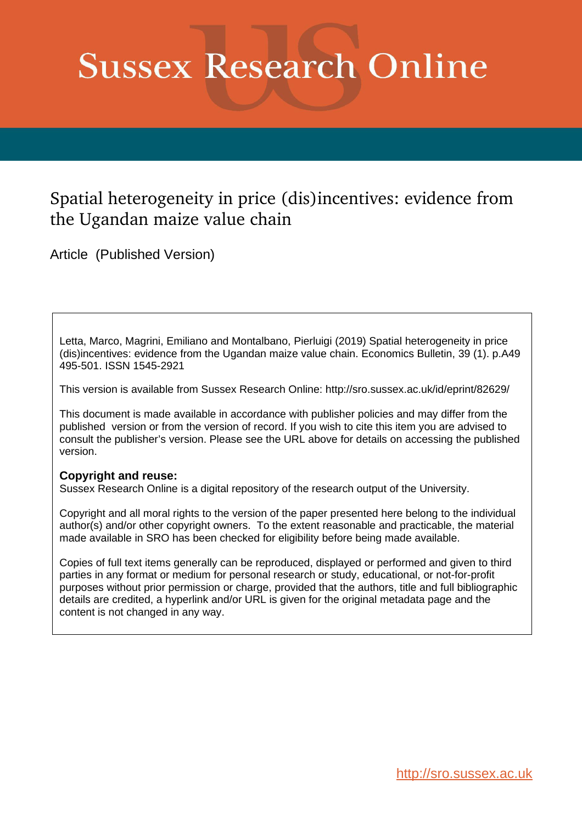# **Sussex Research Online**

## Spatial heterogeneity in price (dis)incentives: evidence from the Ugandan maize value chain

Article (Published Version)

Letta, Marco, Magrini, Emiliano and Montalbano, Pierluigi (2019) Spatial heterogeneity in price (dis)incentives: evidence from the Ugandan maize value chain. Economics Bulletin, 39 (1). p.A49 495-501. ISSN 1545-2921

This version is available from Sussex Research Online: http://sro.sussex.ac.uk/id/eprint/82629/

This document is made available in accordance with publisher policies and may differ from the published version or from the version of record. If you wish to cite this item you are advised to consult the publisher's version. Please see the URL above for details on accessing the published version.

#### **Copyright and reuse:**

Sussex Research Online is a digital repository of the research output of the University.

Copyright and all moral rights to the version of the paper presented here belong to the individual author(s) and/or other copyright owners. To the extent reasonable and practicable, the material made available in SRO has been checked for eligibility before being made available.

Copies of full text items generally can be reproduced, displayed or performed and given to third parties in any format or medium for personal research or study, educational, or not-for-profit purposes without prior permission or charge, provided that the authors, title and full bibliographic details are credited, a hyperlink and/or URL is given for the original metadata page and the content is not changed in any way.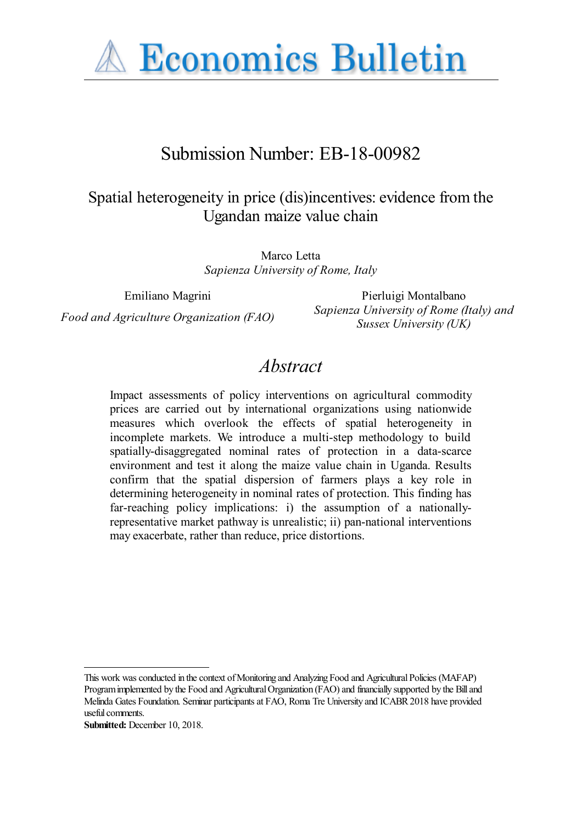

## Submission Number: EB-18-00982

## Spatial heterogeneity in price (dis)incentives: evidence from the Ugandan maize value chain

Marco Letta *Sapienza University of Rome, Italy*

Emiliano Magrini Pierluigi Montalbano *Food and Agriculture Organization (FAO) Sapienza University of Rome (Italy) and Sussex University (UK)*

## *Abstract*

Impact assessments of policy interventions on agricultural commodity prices are carried out by international organizations using nationwide measures which overlook the effects of spatial heterogeneity in incomplete markets. We introduce a multi-step methodology to build spatially-disaggregated nominal rates of protection in a data-scarce environment and test it along the maize value chain in Uganda. Results confirm that the spatial dispersion of farmers plays a key role in determining heterogeneity in nominal rates of protection. This finding has far-reaching policy implications: i) the assumption of a nationallyrepresentative market pathway is unrealistic; ii) pan-national interventions may exacerbate, rather than reduce, price distortions.

This work was conducted in the context of Monitoring and Analyzing Food and Agricultural Policies (MAFAP) Program implemented by the Food and Agricultural Organization (FAO) and financially supported by the Bill and Melinda Gates Foundation. Seminar participants at FAO, Roma Tre University and ICABR 2018 have provided useful comments.

**Submitted:** December 10, 2018.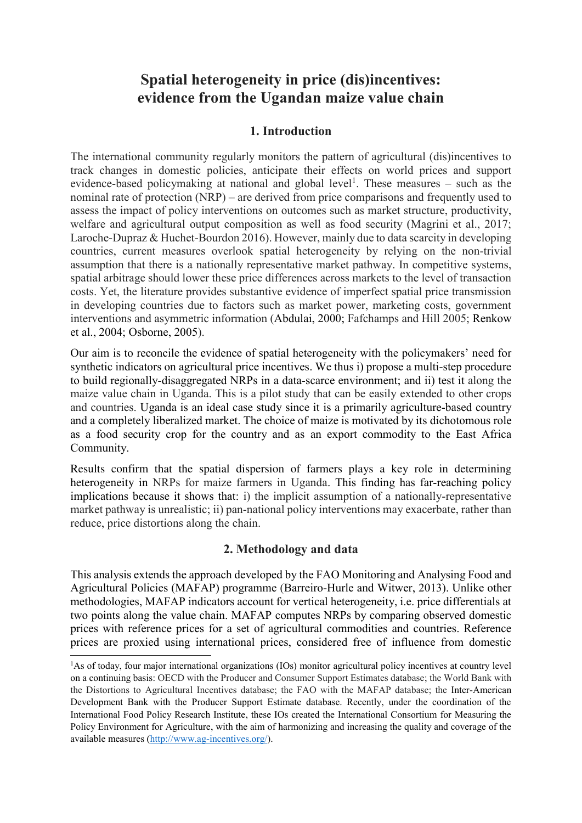### **Spatial heterogeneity in price (dis)incentives: evidence from the Ugandan maize value chain**

#### **1. Introduction**

The international community regularly monitors the pattern of agricultural (dis)incentives to track changes in domestic policies, anticipate their effects on world prices and support evidence-based policymaking at national and global level<sup>1</sup>. These measures  $-$  such as the nominal rate of protection (NRP) – are derived from price comparisons and frequently used to assess the impact of policy interventions on outcomes such as market structure, productivity, welfare and agricultural output composition as well as food security (Magrini et al., 2017; Laroche-Dupraz & Huchet-Bourdon 2016). However, mainly due to data scarcity in developing countries, current measures overlook spatial heterogeneity by relying on the non-trivial assumption that there is a nationally representative market pathway. In competitive systems, spatial arbitrage should lower these price differences across markets to the level of transaction costs. Yet, the literature provides substantive evidence of imperfect spatial price transmission in developing countries due to factors such as market power, marketing costs, government interventions and asymmetric information (Abdulai, 2000; Fafchamps and Hill 2005; Renkow et al., 2004; Osborne, 2005).

Our aim is to reconcile the evidence of spatial heterogeneity with the policymakers' need for synthetic indicators on agricultural price incentives. We thus i) propose a multi-step procedure to build regionally-disaggregated NRPs in a data-scarce environment; and ii) test it along the maize value chain in Uganda. This is a pilot study that can be easily extended to other crops and countries. Uganda is an ideal case study since it is a primarily agriculture-based country and a completely liberalized market. The choice of maize is motivated by its dichotomous role as a food security crop for the country and as an export commodity to the East Africa Community.

Results confirm that the spatial dispersion of farmers plays a key role in determining heterogeneity in NRPs for maize farmers in Uganda. This finding has far-reaching policy implications because it shows that: i) the implicit assumption of a nationally-representative market pathway is unrealistic; ii) pan-national policy interventions may exacerbate, rather than reduce, price distortions along the chain.

#### **2. Methodology and data**

This analysis extends the approach developed by the FAO Monitoring and Analysing Food and Agricultural Policies (MAFAP) programme (Barreiro-Hurle and Witwer, 2013). Unlike other methodologies, MAFAP indicators account for vertical heterogeneity, i.e. price differentials at two points along the value chain. MAFAP computes NRPs by comparing observed domestic prices with reference prices for a set of agricultural commodities and countries. Reference prices are proxied using international prices, considered free of influence from domestic

-

<sup>&</sup>lt;sup>1</sup>As of today, four major international organizations (IOs) monitor agricultural policy incentives at country level on a continuing basis: OECD with the Producer and Consumer Support Estimates database; the World Bank with the Distortions to Agricultural Incentives database; the FAO with the MAFAP database; the Inter-American Development Bank with the Producer Support Estimate database. Recently, under the coordination of the International Food Policy Research Institute, these IOs created the International Consortium for Measuring the Policy Environment for Agriculture, with the aim of harmonizing and increasing the quality and coverage of the available measures [\(http://www.ag-incentives.org/\)](http://www.ag-incentives.org/).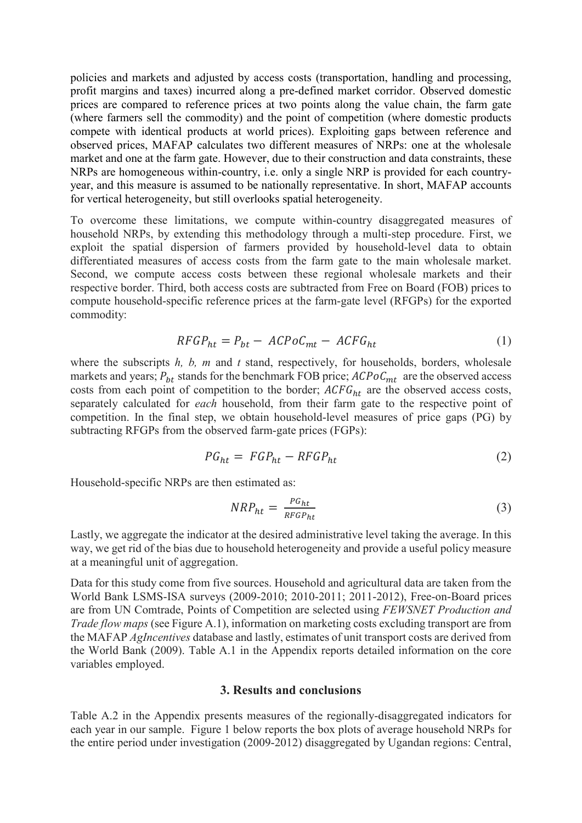policies and markets and adjusted by access costs (transportation, handling and processing, profit margins and taxes) incurred along a pre-defined market corridor. Observed domestic prices are compared to reference prices at two points along the value chain, the farm gate (where farmers sell the commodity) and the point of competition (where domestic products compete with identical products at world prices). Exploiting gaps between reference and observed prices, MAFAP calculates two different measures of NRPs: one at the wholesale market and one at the farm gate. However, due to their construction and data constraints, these NRPs are homogeneous within-country, i.e. only a single NRP is provided for each countryyear, and this measure is assumed to be nationally representative. In short, MAFAP accounts for vertical heterogeneity, but still overlooks spatial heterogeneity.

To overcome these limitations, we compute within-country disaggregated measures of household NRPs, by extending this methodology through a multi-step procedure. First, we exploit the spatial dispersion of farmers provided by household-level data to obtain differentiated measures of access costs from the farm gate to the main wholesale market. Second, we compute access costs between these regional wholesale markets and their respective border. Third, both access costs are subtracted from Free on Board (FOB) prices to compute household-specific reference prices at the farm-gate level (RFGPs) for the exported commodity:

$$
RFGP_{ht} = P_{bt} - ACPoC_{mt} - ACFG_{ht}
$$
 (1)

where the subscripts *h*, *b*, *m* and *t* stand, respectively, for households, borders, wholesale markets and years;  $P_{bt}$  stands for the benchmark FOB price;  $ACPoC_{mt}$  are the observed access costs from each point of competition to the border;  $ACFG<sub>ht</sub>$  are the observed access costs, separately calculated for *each* household, from their farm gate to the respective point of competition. In the final step, we obtain household-level measures of price gaps (PG) by subtracting RFGPs from the observed farm-gate prices (FGPs):

$$
PG_{ht} = FGP_{ht} - RFGP_{ht} \tag{2}
$$

Household-specific NRPs are then estimated as:

$$
NRP_{ht} = \frac{P G_{ht}}{RFGP_{ht}} \tag{3}
$$

Lastly, we aggregate the indicator at the desired administrative level taking the average. In this way, we get rid of the bias due to household heterogeneity and provide a useful policy measure at a meaningful unit of aggregation.

Data for this study come from five sources. Household and agricultural data are taken from the World Bank LSMS-ISA surveys (2009-2010; 2010-2011; 2011-2012), Free-on-Board prices are from UN Comtrade, Points of Competition are selected using *FEWSNET Production and Trade flow maps* (see Figure A.1), information on marketing costs excluding transport are from the MAFAP *AgIncentives* database and lastly, estimates of unit transport costs are derived from the World Bank (2009). Table A.1 in the Appendix reports detailed information on the core variables employed.

#### **3. Results and conclusions**

Table A.2 in the Appendix presents measures of the regionally-disaggregated indicators for each year in our sample. Figure 1 below reports the box plots of average household NRPs for the entire period under investigation (2009-2012) disaggregated by Ugandan regions: Central,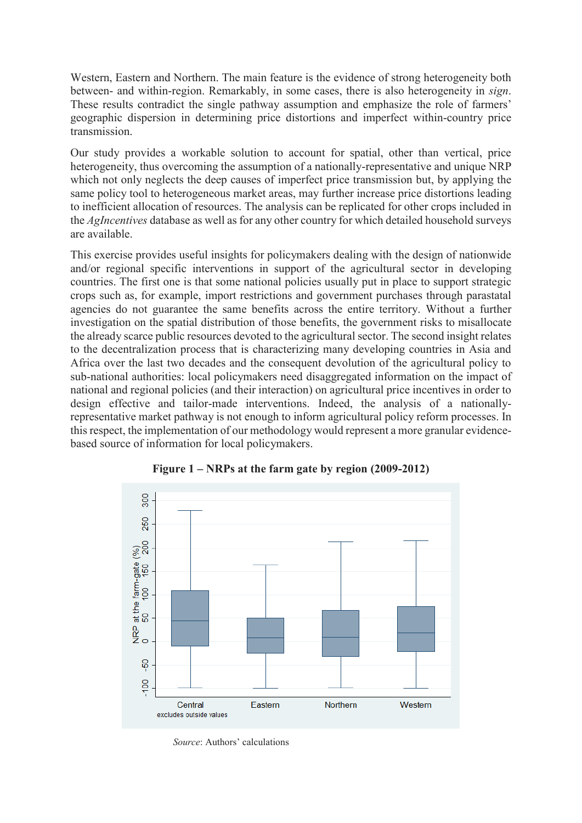Western, Eastern and Northern. The main feature is the evidence of strong heterogeneity both between- and within-region. Remarkably, in some cases, there is also heterogeneity in *sign*. These results contradict the single pathway assumption and emphasize the role of farmers' geographic dispersion in determining price distortions and imperfect within-country price transmission.

Our study provides a workable solution to account for spatial, other than vertical, price heterogeneity, thus overcoming the assumption of a nationally-representative and unique NRP which not only neglects the deep causes of imperfect price transmission but, by applying the same policy tool to heterogeneous market areas, may further increase price distortions leading to inefficient allocation of resources. The analysis can be replicated for other crops included in the *AgIncentives* database as well as for any other country for which detailed household surveys are available.

This exercise provides useful insights for policymakers dealing with the design of nationwide and/or regional specific interventions in support of the agricultural sector in developing countries. The first one is that some national policies usually put in place to support strategic crops such as, for example, import restrictions and government purchases through parastatal agencies do not guarantee the same benefits across the entire territory. Without a further investigation on the spatial distribution of those benefits, the government risks to misallocate the already scarce public resources devoted to the agricultural sector. The second insight relates to the decentralization process that is characterizing many developing countries in Asia and Africa over the last two decades and the consequent devolution of the agricultural policy to sub-national authorities: local policymakers need disaggregated information on the impact of national and regional policies (and their interaction) on agricultural price incentives in order to design effective and tailor-made interventions. Indeed, the analysis of a nationallyrepresentative market pathway is not enough to inform agricultural policy reform processes. In this respect, the implementation of our methodology would represent a more granular evidencebased source of information for local policymakers.



**Figure 1 – NRPs at the farm gate by region (2009-2012)** 

*Source*: Authors' calculations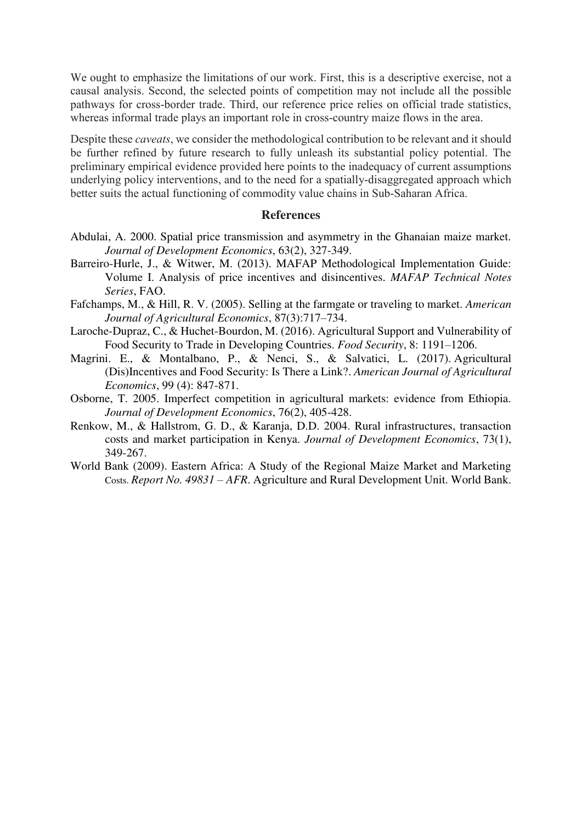We ought to emphasize the limitations of our work. First, this is a descriptive exercise, not a causal analysis. Second, the selected points of competition may not include all the possible pathways for cross-border trade. Third, our reference price relies on official trade statistics, whereas informal trade plays an important role in cross-country maize flows in the area.

Despite these *caveats*, we consider the methodological contribution to be relevant and it should be further refined by future research to fully unleash its substantial policy potential. The preliminary empirical evidence provided here points to the inadequacy of current assumptions underlying policy interventions, and to the need for a spatially-disaggregated approach which better suits the actual functioning of commodity value chains in Sub-Saharan Africa.

#### **References**

- Abdulai, A. 2000. Spatial price transmission and asymmetry in the Ghanaian maize market. *Journal of Development Economics*, 63(2), 327-349.
- Barreiro-Hurle, J., & Witwer, M. (2013). MAFAP Methodological Implementation Guide: Volume I. Analysis of price incentives and disincentives. *MAFAP Technical Notes Series*, FAO.
- Fafchamps, M., & Hill, R. V. (2005). Selling at the farmgate or traveling to market. *American Journal of Agricultural Economics*, 87(3):717–734.
- Laroche-Dupraz, C., & Huchet-Bourdon, M. (2016). Agricultural Support and Vulnerability of Food Security to Trade in Developing Countries. *Food Security*, 8: 1191–1206.
- Magrini. E., & Montalbano, P., & Nenci, S., & Salvatici, L. (2017). [Agricultural](https://academic.oup.com/ajae/article-abstract/doi/10.1093/ajae/aaw103/3752387/Agricultural-Dis-Incentives-and-Food-Security-Is?redirectedFrom=fulltext)  [\(Dis\)Incentives and Food Security: Is There a Link?.](https://academic.oup.com/ajae/article-abstract/doi/10.1093/ajae/aaw103/3752387/Agricultural-Dis-Incentives-and-Food-Security-Is?redirectedFrom=fulltext) *American Journal of Agricultural Economics*, 99 (4): 847-871.
- Osborne, T. 2005. Imperfect competition in agricultural markets: evidence from Ethiopia. *Journal of Development Economics*, 76(2), 405-428.
- Renkow, M., & Hallstrom, G. D., & Karanja, D.D. 2004. Rural infrastructures, transaction costs and market participation in Kenya. *Journal of Development Economics*, 73(1), 349-267.
- World Bank (2009). Eastern Africa: A Study of the Regional Maize Market and Marketing Costs. *Report No. 49831 – AFR*. Agriculture and Rural Development Unit. World Bank.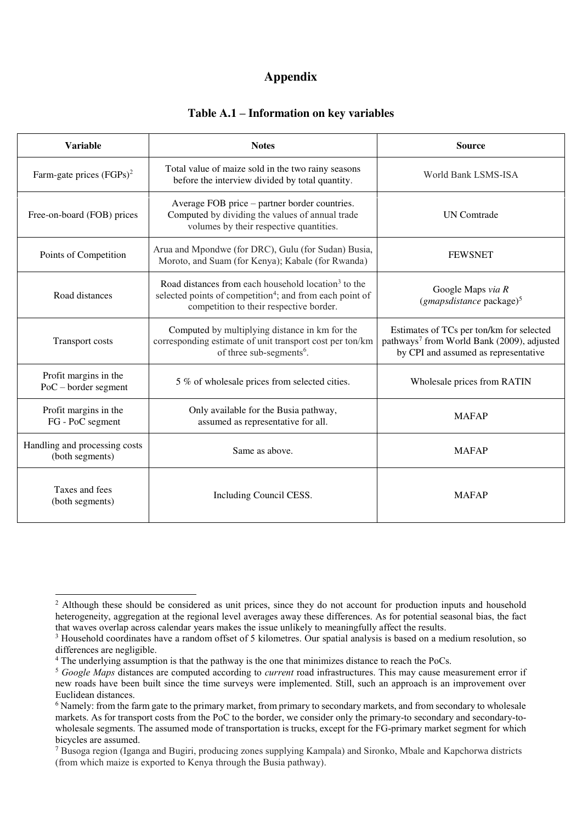#### **Appendix**

#### **Table A.1 – Information on key variables**

| <b>Variable</b>                                  | <b>Notes</b>                                                                                                                                                                                                                                      | <b>Source</b>                                                                                                                              |  |
|--------------------------------------------------|---------------------------------------------------------------------------------------------------------------------------------------------------------------------------------------------------------------------------------------------------|--------------------------------------------------------------------------------------------------------------------------------------------|--|
| Farm-gate prices $(FGPs)^2$                      | Total value of maize sold in the two rainy seasons<br>World Bank LSMS-ISA<br>before the interview divided by total quantity.                                                                                                                      |                                                                                                                                            |  |
| Free-on-board (FOB) prices                       | Average FOB price – partner border countries.<br>Computed by dividing the values of annual trade<br>volumes by their respective quantities.                                                                                                       | <b>UN</b> Comtrade                                                                                                                         |  |
| Points of Competition                            | Arua and Mpondwe (for DRC), Gulu (for Sudan) Busia,<br><b>FEWSNET</b><br>Moroto, and Suam (for Kenya); Kabale (for Rwanda)                                                                                                                        |                                                                                                                                            |  |
| Road distances                                   | Road distances from each household location <sup>3</sup> to the<br>Google Maps via R<br>selected points of competition <sup>4</sup> ; and from each point of<br>$(gmapsdistance\ packet)$ <sup>5</sup><br>competition to their respective border. |                                                                                                                                            |  |
| <b>Transport costs</b>                           | Computed by multiplying distance in km for the<br>corresponding estimate of unit transport cost per ton/km<br>of three sub-segments <sup>6</sup> .                                                                                                | Estimates of TCs per ton/km for selected<br>pathways <sup>7</sup> from World Bank (2009), adjusted<br>by CPI and assumed as representative |  |
| Profit margins in the<br>$PoC - border segment$  | 5 % of wholesale prices from selected cities.                                                                                                                                                                                                     | Wholesale prices from RATIN                                                                                                                |  |
| Profit margins in the<br>FG - PoC segment        | Only available for the Busia pathway,<br>assumed as representative for all.                                                                                                                                                                       | <b>MAFAP</b>                                                                                                                               |  |
| Handling and processing costs<br>(both segments) | Same as above.                                                                                                                                                                                                                                    | <b>MAFAP</b>                                                                                                                               |  |
| Taxes and fees<br>(both segments)                | Including Council CESS.                                                                                                                                                                                                                           | <b>MAFAP</b>                                                                                                                               |  |

<sup>&</sup>lt;sup>2</sup> Although these should be considered as unit prices, since they do not account for production inputs and household heterogeneity, aggregation at the regional level averages away these differences. As for potential seasonal bias, the fact that waves overlap across calendar years makes the issue unlikely to meaningfully affect the results.

<sup>&</sup>lt;sup>3</sup> Household coordinates have a random offset of 5 kilometres. Our spatial analysis is based on a medium resolution, so differences are negligible.

<sup>&</sup>lt;sup>4</sup> The underlying assumption is that the pathway is the one that minimizes distance to reach the PoCs.

<sup>5</sup> *Google Maps* distances are computed according to *current* road infrastructures. This may cause measurement error if new roads have been built since the time surveys were implemented. Still, such an approach is an improvement over Euclidean distances.

<sup>&</sup>lt;sup>6</sup> Namely: from the farm gate to the primary market, from primary to secondary markets, and from secondary to wholesale markets. As for transport costs from the PoC to the border, we consider only the primary-to secondary and secondary-towholesale segments. The assumed mode of transportation is trucks, except for the FG-primary market segment for which bicycles are assumed.

<sup>7</sup> Busoga region (Iganga and Bugiri, producing zones supplying Kampala) and Sironko, Mbale and Kapchorwa districts (from which maize is exported to Kenya through the Busia pathway).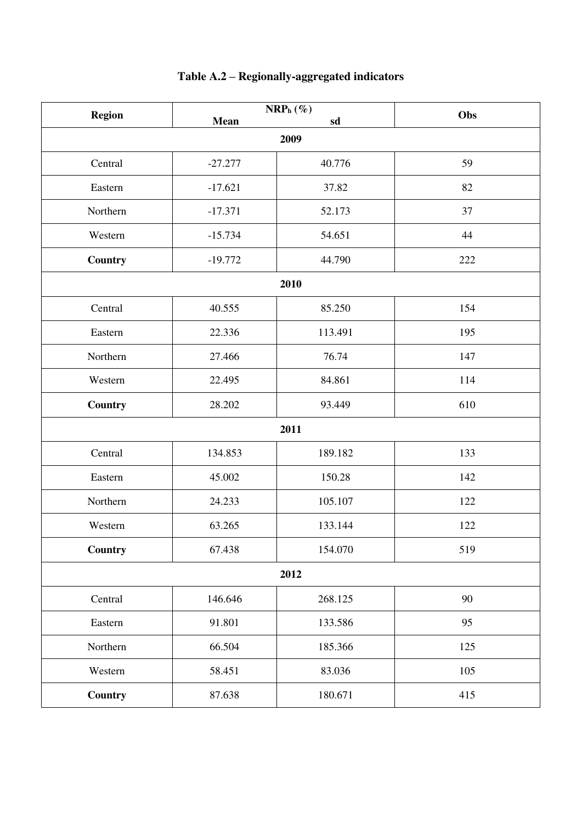| <b>Region</b>             |           | $\mathbf{NRP}_h$ (%) | Obs |  |
|---------------------------|-----------|----------------------|-----|--|
| <b>Mean</b><br>sd<br>2009 |           |                      |     |  |
|                           |           |                      |     |  |
| Central                   | $-27.277$ | 40.776               | 59  |  |
| Eastern                   | $-17.621$ | 37.82                | 82  |  |
| Northern                  | $-17.371$ | 52.173               | 37  |  |
| Western                   | $-15.734$ | 54.651               | 44  |  |
| Country                   | $-19.772$ | 44.790               | 222 |  |
| 2010                      |           |                      |     |  |
| Central                   | 40.555    | 85.250               | 154 |  |
| Eastern                   | 22.336    | 113.491              | 195 |  |
| Northern                  | 27.466    | 76.74                | 147 |  |
| Western                   | 22.495    | 84.861               | 114 |  |
| <b>Country</b>            | 28.202    | 93.449               | 610 |  |
| 2011                      |           |                      |     |  |
| Central                   | 134.853   | 189.182              | 133 |  |
| Eastern                   | 45.002    | 150.28               | 142 |  |
| Northern                  | 24.233    | 105.107              | 122 |  |
| Western                   | 63.265    | 133.144              | 122 |  |
| Country                   | 67.438    | 154.070              | 519 |  |
| 2012                      |           |                      |     |  |
| Central                   | 146.646   | 268.125              | 90  |  |
| Eastern                   | 91.801    | 133.586              | 95  |  |
| Northern                  | 66.504    | 185.366              | 125 |  |
| Western                   | 58.451    | 83.036               | 105 |  |
| <b>Country</b>            | 87.638    | 180.671              | 415 |  |

## **Table A.2 – Regionally-aggregated indicators**